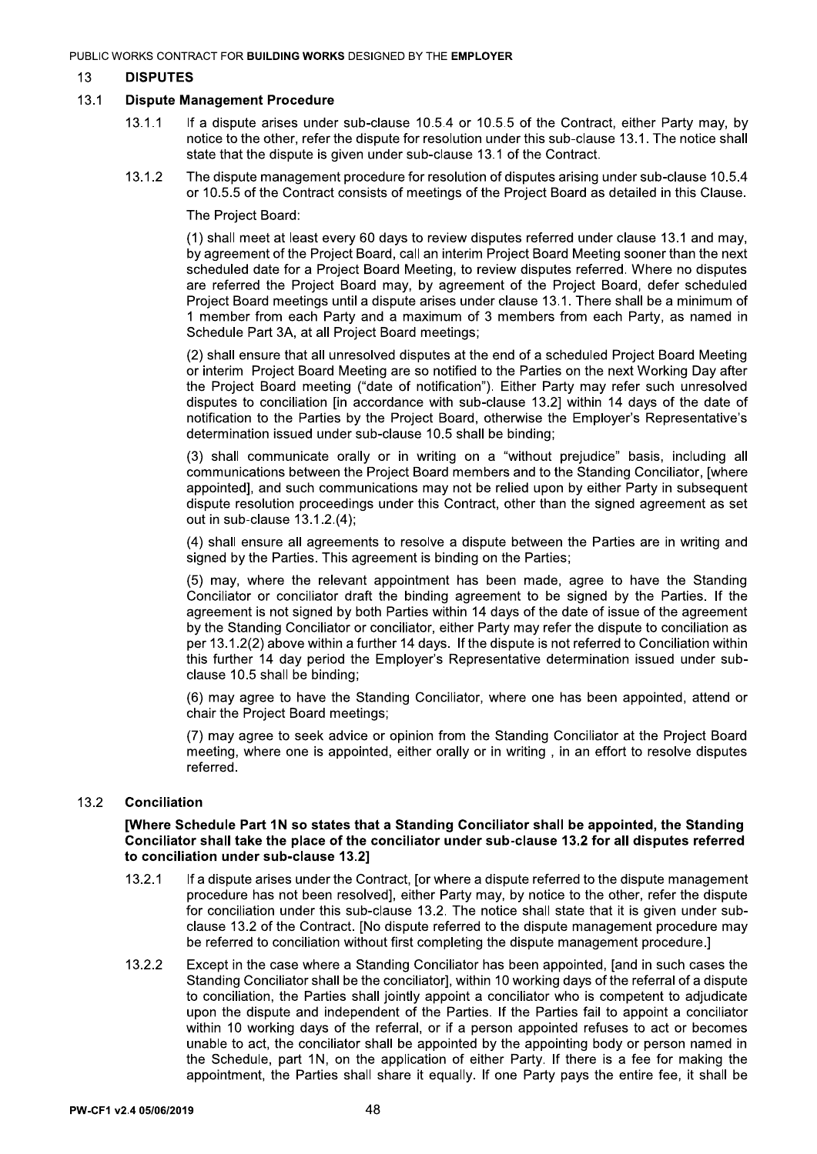#### 13 **DISPUTES**

#### $13.1$ **Dispute Management Procedure**

- $13.1.1$ If a dispute arises under sub-clause 10.5.4 or 10.5.5 of the Contract, either Party may, by notice to the other, refer the dispute for resolution under this sub-clause 13.1. The notice shall state that the dispute is given under sub-clause 13.1 of the Contract.
- 13.1.2 The dispute management procedure for resolution of disputes arising under sub-clause 10.5.4 or 10.5.5 of the Contract consists of meetings of the Project Board as detailed in this Clause.

The Project Board:

(1) shall meet at least every 60 days to review disputes referred under clause 13.1 and may, by agreement of the Project Board, call an interim Project Board Meeting sooner than the next scheduled date for a Project Board Meeting, to review disputes referred. Where no disputes are referred the Project Board may, by agreement of the Project Board, defer scheduled Project Board meetings until a dispute arises under clause 13.1. There shall be a minimum of 1 member from each Party and a maximum of 3 members from each Party, as named in Schedule Part 3A, at all Project Board meetings;

(2) shall ensure that all unresolved disputes at the end of a scheduled Project Board Meeting or interim Project Board Meeting are so notified to the Parties on the next Working Day after the Project Board meeting ("date of notification"). Either Party may refer such unresolved disputes to conciliation [in accordance with sub-clause 13.2] within 14 days of the date of notification to the Parties by the Project Board, otherwise the Employer's Representative's determination issued under sub-clause 10.5 shall be binding:

(3) shall communicate orally or in writing on a "without prejudice" basis, including all communications between the Project Board members and to the Standing Conciliator, [where appointed], and such communications may not be relied upon by either Party in subsequent dispute resolution proceedings under this Contract, other than the signed agreement as set out in sub-clause 13.1.2.(4):

(4) shall ensure all agreements to resolve a dispute between the Parties are in writing and signed by the Parties. This agreement is binding on the Parties;

(5) may, where the relevant appointment has been made, agree to have the Standing Conciliator or conciliator draft the binding agreement to be signed by the Parties. If the agreement is not signed by both Parties within 14 days of the date of issue of the agreement by the Standing Conciliator or conciliator, either Party may refer the dispute to conciliation as per 13.1.2(2) above within a further 14 days. If the dispute is not referred to Conciliation within this further 14 day period the Employer's Representative determination issued under subclause 10.5 shall be binding;

(6) may agree to have the Standing Conciliator, where one has been appointed, attend or chair the Project Board meetings;

(7) may agree to seek advice or opinion from the Standing Conciliator at the Project Board meeting, where one is appointed, either orally or in writing, in an effort to resolve disputes referred.

#### $13.2$ **Conciliation**

## [Where Schedule Part 1N so states that a Standing Conciliator shall be appointed, the Standing Conciliator shall take the place of the conciliator under sub-clause 13.2 for all disputes referred to conciliation under sub-clause 13.2]

- $13.2.1$ If a dispute arises under the Contract, for where a dispute referred to the dispute management procedure has not been resolved], either Party may, by notice to the other, refer the dispute for conciliation under this sub-clause 13.2. The notice shall state that it is given under subclause 13.2 of the Contract. [No dispute referred to the dispute management procedure may be referred to conciliation without first completing the dispute management procedure.]
- 13.2.2 Except in the case where a Standing Conciliator has been appointed, [and in such cases the Standing Conciliator shall be the conciliator], within 10 working days of the referral of a dispute to conciliation, the Parties shall jointly appoint a conciliator who is competent to adjudicate upon the dispute and independent of the Parties. If the Parties fail to appoint a conciliator within 10 working days of the referral, or if a person appointed refuses to act or becomes unable to act, the conciliator shall be appointed by the appointing body or person named in the Schedule, part 1N, on the application of either Party. If there is a fee for making the appointment, the Parties shall share it equally. If one Party pays the entire fee, it shall be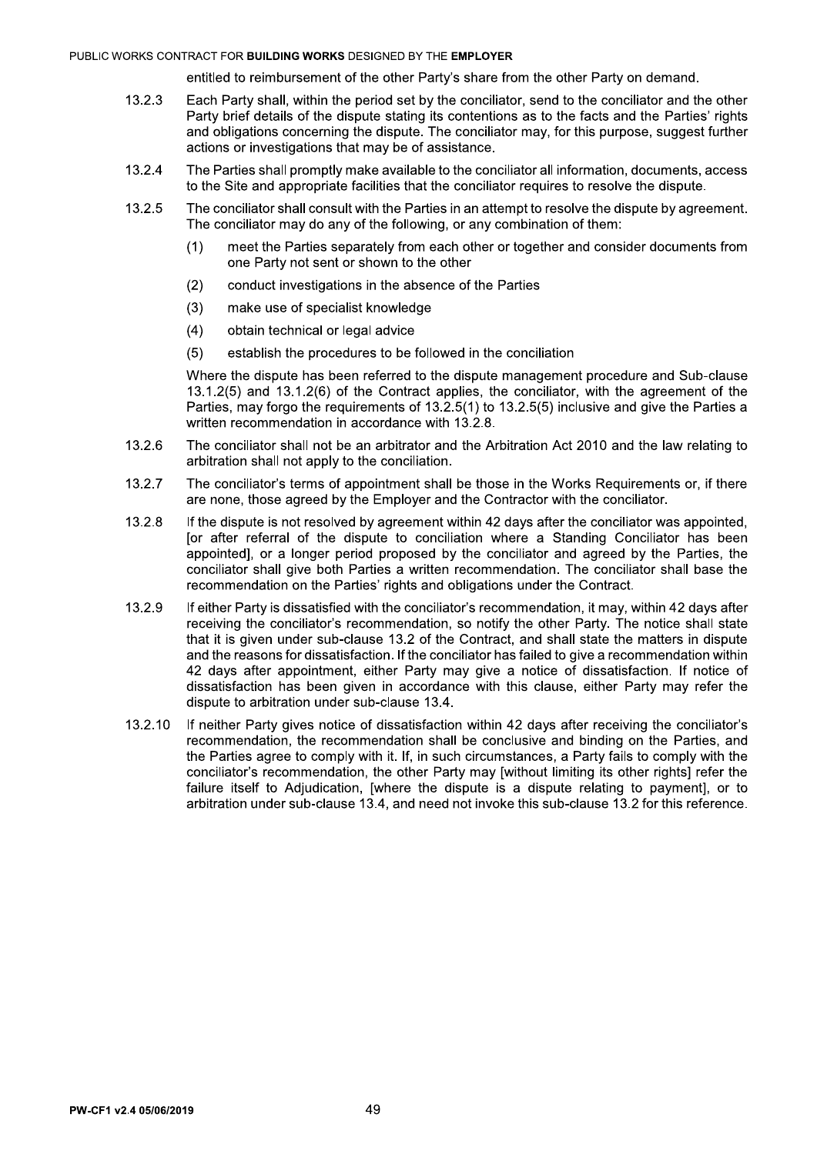# PUBLIC WORKS CONTRACT FOR **BUILDING WORKS** DESIGNED BY THE **EMPLOTER**

entitled to reimbursement of the other Party's share from the other Party on demand.

- 13.2.3 Each Party shall, within the period set by the conciliator, send to the conciliator and the other Party brief details of the dispute stating its contentions as to the facts and the Parties' rights and obligations concerning the dispute. The conciliator may, for this purpose, suggest further actions or investigations that may be of assistance.
- 13.2.4 The Parties shall promptly make available to the conciliator all information, documents, access to the Site and appropriate facilities that the conciliator requires to resolve the dispute.
- 13.2.5 The conciliator shall consult with the Parties in an attempt to resolve the dispute by agreement. The conciliator may do any of the following, or any combination of them:
	- (1) meet the Parties separately from each other or together and consider documents from one Party not sent or shown to the other
	- (2) conduct investigations in the absence of the Parties
	- $(3)$  make use of specialist knowledge
	- $(4)$  obtain technical or legal advice
	- $(5)$  establish the procedures to be followed in the conciliation

Where the dispute has been referred to the dispute management procedure and Sub-clause  $13.1.2(5)$  and  $13.1.2(6)$  of the Contract applies, the conciliator, with the agreement of the Parties, may forgo the requirements of  $13.2.5(1)$  to  $13.2.5(5)$  inclusive and give the Parties a written recommendation in accordance with 13.2.8.

- 13.2.6 The conciliator shall not be an arbitrator and the Arbitration Act 2010 and the law relating to arbitration shall not apply to the conciliation.
- 13.2.7 The conciliator's terms of appointment shall be those in the Works Requirements or, if there are none, those agreed by the Employer and the Contractor with the conciliator.
- 13.2.8 If the dispute is not resolved by agreement within 42 days after the conciliator was appointed. for after referral of the dispute to conciliation where a Standing Conciliator has been appointed], or a longer period proposed by the conciliator and agreed by the Parties, the conciliator shall give both Parties a written recommendation. The conciliator shall base the recommendation on the Parties' rights and obligations under the Contract.
- 13.2.9 If either Party is dissatisfied with the conciliator's recommendation, it may, within 42 days after receiving the conciliator's recommendation, so notify the other Party. The notice shall state that it is given under sub-clause 13.2 of the Contract, and shall state the matters in dispute and the reasons for dissatisfaction. If the conciliator has failed to give a recommendation within 42 days after appointment, either Party may give a notice of dissatisfaction. If notice of dissatisfaction has been given in accordance with this clause, either Party may refer the dispute to arbitration under sub-clause 13.4.
- 13.2.10 If neither Party gives notice of dissatisfaction within 42 days after receiving the conciliator's recommendation, the recommendation shall be conclusive and binding on the Parties, and the Parties agree to comply with it. If, in such circumstances, a Party fails to comply with the conciliator's recommendation, the other Party may [without limiting its other rights] refer the failure itself to Adjudication, [where the dispute is a dispute relating to payment], or to arbitration under sub-clause 13.4, and need not invoke this sub-clause 13.2 for this reference.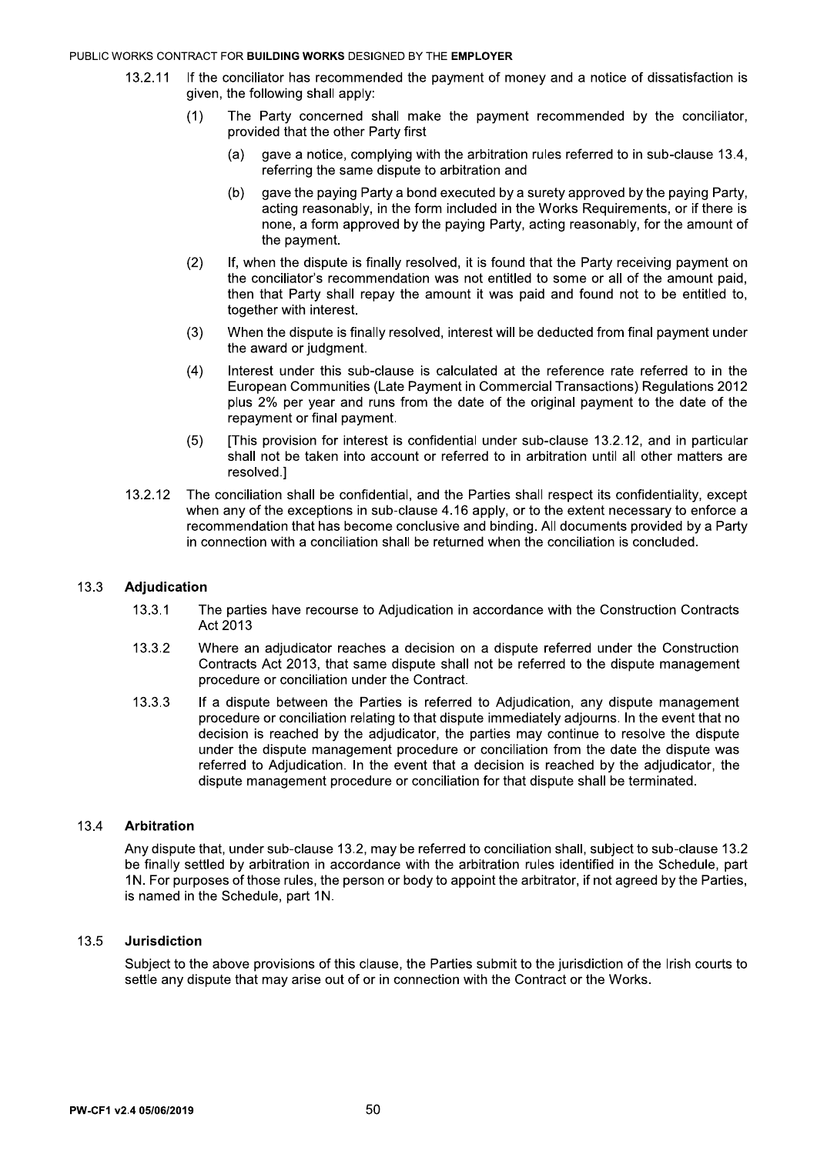### PUBLIC WORKS CONTRACT FOR BUILDING WORKS DESIGNED BY THE EMPLOYER

- If the conciliator has recommended the payment of money and a notice of dissatisfaction is 13.2.11 given, the following shall apply:
	- The Party concerned shall make the payment recommended by the conciliator.  $(1)$ provided that the other Party first
		- gave a notice, complying with the arbitration rules referred to in sub-clause 13.4,  $(a)$ referring the same dispute to arbitration and
		- gave the paying Party a bond executed by a surety approved by the paying Party.  $(b)$ acting reasonably, in the form included in the Works Requirements, or if there is none, a form approved by the paying Party, acting reasonably, for the amount of the payment.
	- $(2)$ If, when the dispute is finally resolved, it is found that the Party receiving payment on the conciliator's recommendation was not entitled to some or all of the amount paid, then that Party shall repay the amount it was paid and found not to be entitled to, together with interest.
	- $(3)$ When the dispute is finally resolved, interest will be deducted from final payment under the award or judgment.
	- $(4)$ Interest under this sub-clause is calculated at the reference rate referred to in the European Communities (Late Payment in Commercial Transactions) Regulations 2012 plus 2% per year and runs from the date of the original payment to the date of the repayment or final payment.
	- $(5)$ [This provision for interest is confidential under sub-clause 13.2.12, and in particular shall not be taken into account or referred to in arbitration until all other matters are resolved.]
- 13.2.12 The conciliation shall be confidential, and the Parties shall respect its confidentiality, except when any of the exceptions in sub-clause 4.16 apply, or to the extent necessary to enforce a recommendation that has become conclusive and binding. All documents provided by a Party in connection with a conciliation shall be returned when the conciliation is concluded.

#### $13.3$ **Adjudication**

- $13.3.1$ The parties have recourse to Adjudication in accordance with the Construction Contracts Act 2013
- 13.3.2 Where an adjudicator reaches a decision on a dispute referred under the Construction Contracts Act 2013, that same dispute shall not be referred to the dispute management procedure or conciliation under the Contract.
- 13.3.3 If a dispute between the Parties is referred to Adjudication, any dispute management procedure or conciliation relating to that dispute immediately adjourns. In the event that no decision is reached by the adjudicator, the parties may continue to resolve the dispute under the dispute management procedure or conciliation from the date the dispute was referred to Adjudication. In the event that a decision is reached by the adjudicator, the dispute management procedure or conciliation for that dispute shall be terminated.

#### 13.4 **Arbitration**

Any dispute that, under sub-clause 13.2, may be referred to conciliation shall, subject to sub-clause 13.2 be finally settled by arbitration in accordance with the arbitration rules identified in the Schedule, part 1N. For purposes of those rules, the person or body to appoint the arbitrator, if not agreed by the Parties, is named in the Schedule, part 1N.

#### 13.5 **Jurisdiction**

Subject to the above provisions of this clause, the Parties submit to the jurisdiction of the Irish courts to settle any dispute that may arise out of or in connection with the Contract or the Works.